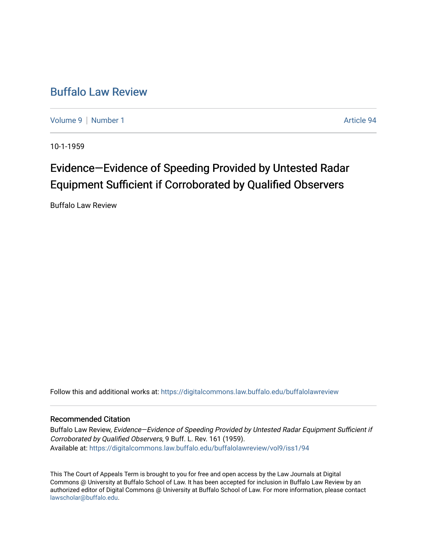## [Buffalo Law Review](https://digitalcommons.law.buffalo.edu/buffalolawreview)

[Volume 9](https://digitalcommons.law.buffalo.edu/buffalolawreview/vol9) | [Number 1](https://digitalcommons.law.buffalo.edu/buffalolawreview/vol9/iss1) Article 94

10-1-1959

## Evidence—Evidence of Speeding Provided by Untested Radar Equipment Sufficient if Corroborated by Qualified Observers

Buffalo Law Review

Follow this and additional works at: [https://digitalcommons.law.buffalo.edu/buffalolawreview](https://digitalcommons.law.buffalo.edu/buffalolawreview?utm_source=digitalcommons.law.buffalo.edu%2Fbuffalolawreview%2Fvol9%2Fiss1%2F94&utm_medium=PDF&utm_campaign=PDFCoverPages) 

## Recommended Citation

Buffalo Law Review, Evidence-Evidence of Speeding Provided by Untested Radar Equipment Sufficient if Corroborated by Qualified Observers, 9 Buff. L. Rev. 161 (1959). Available at: [https://digitalcommons.law.buffalo.edu/buffalolawreview/vol9/iss1/94](https://digitalcommons.law.buffalo.edu/buffalolawreview/vol9/iss1/94?utm_source=digitalcommons.law.buffalo.edu%2Fbuffalolawreview%2Fvol9%2Fiss1%2F94&utm_medium=PDF&utm_campaign=PDFCoverPages) 

This The Court of Appeals Term is brought to you for free and open access by the Law Journals at Digital Commons @ University at Buffalo School of Law. It has been accepted for inclusion in Buffalo Law Review by an authorized editor of Digital Commons @ University at Buffalo School of Law. For more information, please contact [lawscholar@buffalo.edu](mailto:lawscholar@buffalo.edu).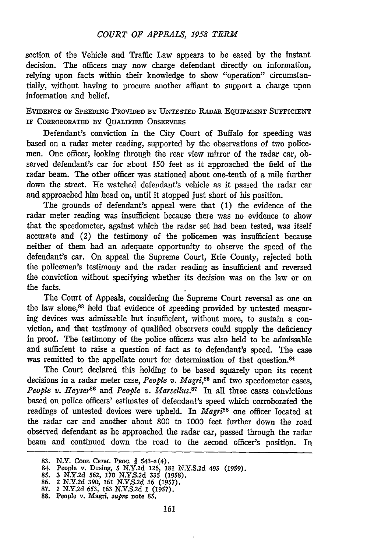section of the Vehicle and Traffic Law appears to be eased by the instant decision. The officers may now charge defendant directly on information, relying upon facts within their knowledge to show "operation" circumstantially, without having to procure another affiant to support a charge upon information and belief.

EVIDENCE **OF SPEEDING** PROVIDED BY **UNTESTED RADAR** EQUIPMENT SUFFICIENT **IF** CORROBORATED **BY QUALIFIED** OBSERVERS

Defendant's conviction in the City Court of Buffalo for speeding was based on a radar meter reading, supported by the observations of two policemen. One officer, looking through the rear view mirror of the radar car, observed defendant's car for about 150 feet as it approached the field of the radar beam. The other officer was stationed about one-tenth of a mile further down the street. He watched defendant's vehicle as it passed the radar car and approached him head on, until it stopped just short of his position.

The grounds of defendant's appeal were that (1) the evidence of the radar meter reading was insufficient because there was no evidence to show that the speedometer, against which the radar set had been tested, was itself accurate and (2) the testimony of the policemen was insufficient because neither of them had an adequate opportunity to observe the speed of the defendant's car. On appeal the Supreme Court, Erie County, rejected both the policemen's testimony and the radar reading as insufficient and reversed the conviction without specifying whether its decision was on the law or on the facts.

The Court of Appeals, considering the Supreme Court reversal as one on the law alone,<sup>83</sup> held that evidence of speeding provided by untested measuring devices was admissable but insufficient, without more, to sustain a conviction, and that testimony of qualified observers could supply the deficiency in proof. The testimony of the police officers was also held to be admissable and sufficient to raise a question of fact as to defendant's speed. The case was remitted to the appellate court for determination of that question.<sup>84</sup>

The Court declared this holding to be based squarely upon its recent decisions in a radar meter case, *People v. Magri*,<sup>85</sup> and two speedometer cases, *People v. Heyser<sup>86</sup>* and *People v. Marsellus.<sup>87</sup>* In all three cases convictions based on police officers' estimates of defendant's speed which corroborated the readings of untested devices were upheld. In *Magri<sup>88</sup>* one officer located at the radar car and another about 800 to 1000 feet further down the road observed defendant as he approached the radar car, passed through the radar beam and continued down the road to the second officer's position. In

**<sup>83.</sup>** N.Y. **CODE CPn,1. PRoC.** § 543-a(4). **84.** People **v.** Dusing, **5 N.Y.2d 126, 181 N.Y.S.2d** 493 **(1959).**

**<sup>85.</sup>** 3 **N.Y.2d 562, 170 N.Y.S.2d 335 (1958). 86. 2 N.Y.2d 390, 161 N.Y.S.2d 36 (1957). 87. 2 N.Y.2d** 653, **163 N.Y.S.2d 1 (1957). 88.** People v. Magri, *supra* note **85.**